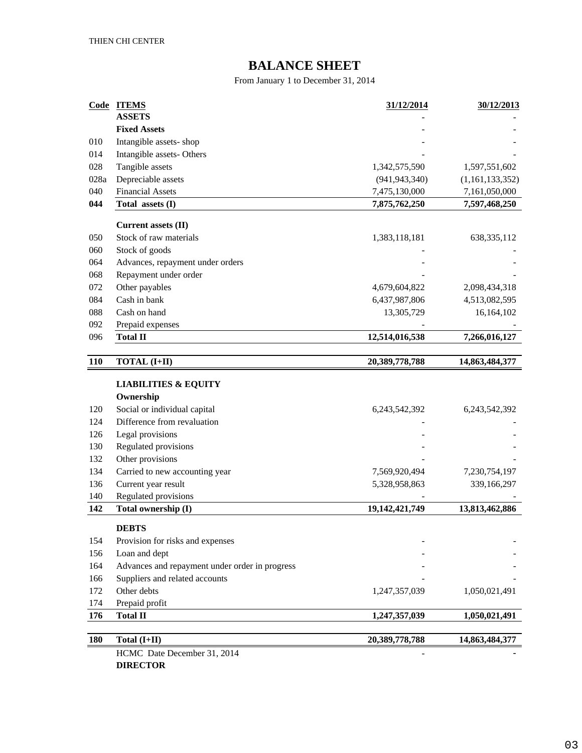# **BALANCE SHEET**

From January 1 to December 31, 2014

| Code       | <b>ITEMS</b>                                   | 31/12/2014       | 30/12/2013      |
|------------|------------------------------------------------|------------------|-----------------|
|            | <b>ASSETS</b>                                  |                  |                 |
|            | <b>Fixed Assets</b>                            |                  |                 |
| 010        | Intangible assets-shop                         |                  |                 |
| 014        | Intangible assets- Others                      |                  |                 |
| 028        | Tangible assets                                | 1,342,575,590    | 1,597,551,602   |
| 028a       | Depreciable assets                             | (941, 943, 340)  | (1,161,133,352) |
| 040<br>044 | <b>Financial Assets</b>                        | 7,475,130,000    | 7,161,050,000   |
|            | Total assets (I)                               | 7,875,762,250    | 7,597,468,250   |
|            | <b>Current assets (II)</b>                     |                  |                 |
| 050        | Stock of raw materials                         | 1,383,118,181    | 638, 335, 112   |
| 060        | Stock of goods                                 |                  |                 |
| 064        | Advances, repayment under orders               |                  |                 |
| 068        | Repayment under order                          |                  |                 |
| 072        | Other payables                                 | 4,679,604,822    | 2,098,434,318   |
| 084        | Cash in bank                                   | 6,437,987,806    | 4,513,082,595   |
| 088        | Cash on hand                                   | 13,305,729       | 16,164,102      |
| 092        | Prepaid expenses                               |                  |                 |
| 096        | <b>Total II</b>                                | 12,514,016,538   | 7,266,016,127   |
|            |                                                |                  |                 |
| <b>110</b> | <b>TOTAL (I+II)</b>                            | 20,389,778,788   | 14,863,484,377  |
|            |                                                |                  |                 |
|            | <b>LIABILITIES &amp; EQUITY</b>                |                  |                 |
|            | Ownership                                      |                  |                 |
| 120        | Social or individual capital                   | 6, 243, 542, 392 | 6,243,542,392   |
| 124        | Difference from revaluation                    |                  |                 |
| 126        | Legal provisions                               |                  |                 |
| 130        | Regulated provisions                           |                  |                 |
| 132        | Other provisions                               |                  |                 |
| 134        | Carried to new accounting year                 | 7,569,920,494    | 7,230,754,197   |
| 136        | Current year result                            | 5,328,958,863    | 339,166,297     |
| 140        | Regulated provisions                           |                  |                 |
| 142        | Total ownership (I)                            | 19,142,421,749   | 13,813,462,886  |
|            | <b>DEBTS</b>                                   |                  |                 |
| 154        | Provision for risks and expenses               |                  |                 |
| 156        | Loan and dept                                  |                  |                 |
| 164        | Advances and repayment under order in progress |                  |                 |
| 166        | Suppliers and related accounts                 |                  |                 |
| 172        | Other debts                                    | 1,247,357,039    | 1,050,021,491   |
| 174        | Prepaid profit                                 |                  |                 |
| 176        | <b>Total II</b>                                | 1,247,357,039    | 1,050,021,491   |
|            |                                                |                  |                 |
| <b>180</b> | Total (I+II)                                   | 20,389,778,788   | 14,863,484,377  |
|            | HCMC Date December 31, 2014                    |                  |                 |

**DIRECTOR**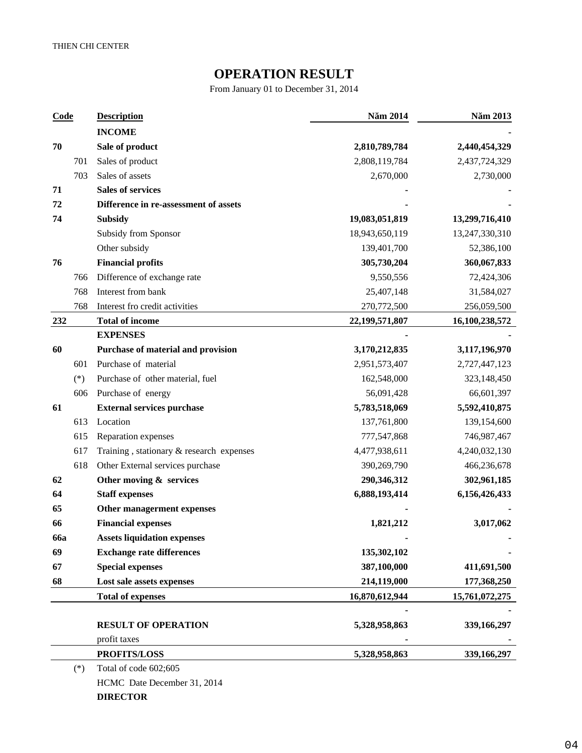## **OPERATION RESULT**

From January 01 to December 31, 2014

| Code       |       | <b>Description</b>                       | N m 2014       | N m 2013       |
|------------|-------|------------------------------------------|----------------|----------------|
|            |       | <b>INCOME</b>                            |                |                |
| 70         |       | Sale of product                          | 2,810,789,784  | 2,440,454,329  |
|            | 701   | Sales of product                         | 2,808,119,784  | 2,437,724,329  |
|            | 703   | Sales of assets                          | 2,670,000      | 2,730,000      |
| 71         |       | <b>Sales of services</b>                 |                |                |
| 72         |       | Difference in re-assessment of assets    |                |                |
| 74         |       | <b>Subsidy</b>                           | 19,083,051,819 | 13,299,716,410 |
|            |       | Subsidy from Sponsor                     | 18,943,650,119 | 13,247,330,310 |
|            |       | Other subsidy                            | 139,401,700    | 52,386,100     |
| 76         |       | <b>Financial profits</b>                 | 305,730,204    | 360,067,833    |
|            | 766   | Difference of exchange rate              | 9,550,556      | 72,424,306     |
|            | 768   | Interest from bank                       | 25,407,148     | 31,584,027     |
|            | 768   | Interest fro credit activities           | 270,772,500    | 256,059,500    |
| 232        |       | <b>Total of income</b>                   | 22,199,571,807 | 16,100,238,572 |
|            |       | <b>EXPENSES</b>                          |                |                |
| 60         |       | Purchase of material and provision       | 3,170,212,835  | 3,117,196,970  |
|            | 601   | Purchase of material                     | 2,951,573,407  | 2,727,447,123  |
|            | $(*)$ | Purchase of other material, fuel         | 162,548,000    | 323,148,450    |
|            | 606   | Purchase of energy                       | 56,091,428     | 66,601,397     |
| 61         |       | <b>External services purchase</b>        | 5,783,518,069  | 5,592,410,875  |
|            | 613   | Location                                 | 137,761,800    | 139,154,600    |
|            | 615   | Reparation expenses                      | 777,547,868    | 746,987,467    |
|            | 617   | Training, stationary & research expenses | 4,477,938,611  | 4,240,032,130  |
|            | 618   | Other External services purchase         | 390,269,790    | 466,236,678    |
| 62         |       | Other moving & services                  | 290,346,312    | 302,961,185    |
| 64         |       | <b>Staff expenses</b>                    | 6,888,193,414  | 6,156,426,433  |
| 65         |       | Other managerment expenses               |                |                |
| 66         |       | <b>Financial expenses</b>                | 1,821,212      | 3,017,062      |
| <b>66a</b> |       | <b>Assets liquidation expenses</b>       |                |                |
| 69         |       | <b>Exchange rate differences</b>         | 135,302,102    |                |
| 67         |       | <b>Special expenses</b>                  | 387,100,000    | 411,691,500    |
| 68         |       | Lost sale assets expenses                | 214,119,000    | 177,368,250    |
|            |       | <b>Total of expenses</b>                 | 16,870,612,944 | 15,761,072,275 |
|            |       |                                          |                |                |
|            |       | <b>RESULT OF OPERATION</b>               | 5,328,958,863  | 339,166,297    |
|            |       | profit taxes                             |                |                |
|            |       | <b>PROFITS/LOSS</b>                      | 5,328,958,863  | 339,166,297    |
|            | $(*)$ | Total of code 602;605                    |                |                |

HCMC Date December 31, 2014 **DIRECTOR**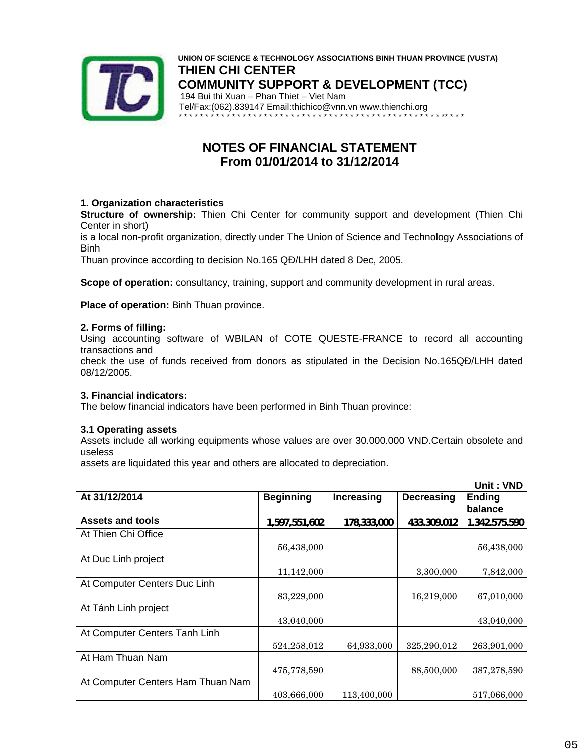

**UNION OF SCIENCE & TECHNOLOGY ASSOCIATIONS BINH THUAN PROVINCE (VUSTA) THIEN CHI CENTER COMMUNITY SUPPORT & DEVELOPMENT (TCC)** 194 Bui thi Xuan – Phan Thiet – Viet Nam Tel/Fax:(062).839147 Email:thichico@vnn.vn www.thienchi.org \* \* \* \* \* \* \* \* \* \* \* \* \* \* \* \* \* \* \* \* \* \* \* \* \* \* \* \* \* \* \* \* \* \* \* \* \* \* \* \* \* \* \* \* \* \* \* \* \* \*\* \* \* \*

## **NOTES OF FINANCIAL STATEMENT From 01/01/2014 to 31/12/2014**

### **1. Organization characteristics**

**Structure of ownership:** Thien Chi Center for community support and development (Thien Chi Center in short)

is a local non-profit organization, directly under The Union of Science and Technology Associations of Binh

Thuan province according to decision No.165 Q /LHH dated 8 Dec, 2005.

**Scope of operation:** consultancy, training, support and community development in rural areas.

**Place of operation:** Binh Thuan province.

#### **2. Forms of filling:**

Using accounting software of WBILAN of COTE QUESTE-FRANCE to record all accounting transactions and

check the use of funds received from donors as stipulated in the Decision No.165Q /LHH dated 08/12/2005.

#### **3. Financial indicators:**

The below financial indicators have been performed in Binh Thuan province:

#### **3.1 Operating assets**

Assets include all working equipments whose values are over 30.000.000 VND.Certain obsolete and useless

assets are liquidated this year and others are allocated to depreciation.

|                                   |                  |             |                   | Unit: VND                |
|-----------------------------------|------------------|-------------|-------------------|--------------------------|
| At 31/12/2014                     | <b>Beginning</b> | Increasing  | <b>Decreasing</b> | <b>Ending</b><br>balance |
| <b>Assets and tools</b>           | 1,597,551,602    | 178,333,000 | 433.309.012       | 1.342.575.590            |
| At Thien Chi Office               |                  |             |                   |                          |
|                                   | 56,438,000       |             |                   | 56,438,000               |
| At Duc Linh project               |                  |             |                   |                          |
|                                   | 11,142,000       |             | 3,300,000         | 7,842,000                |
| At Computer Centers Duc Linh      |                  |             |                   |                          |
|                                   | 83,229,000       |             | 16,219,000        | 67,010,000               |
| At Tánh Linh project              |                  |             |                   |                          |
|                                   | 43,040,000       |             |                   | 43,040,000               |
| At Computer Centers Tanh Linh     |                  |             |                   |                          |
|                                   | 524,258,012      | 64,933,000  | 325,290,012       | 263,901,000              |
| At Ham Thuan Nam                  |                  |             |                   |                          |
|                                   | 475,778,590      |             | 88,500,000        | 387,278,590              |
| At Computer Centers Ham Thuan Nam |                  |             |                   |                          |
|                                   | 403,666,000      | 113,400,000 |                   | 517,066,000              |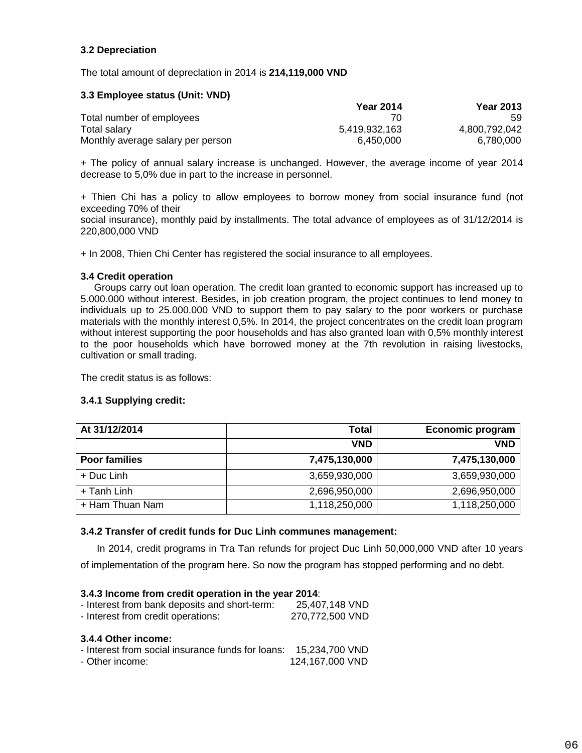## **3.2 Depreciation**

The total amount of depreclation in 2014 is **214,119,000 VND**

#### **3.3 Employee status (Unit: VND)**

|                                   | <b>Year 2014</b> | <b>Year 2013</b> |  |
|-----------------------------------|------------------|------------------|--|
| Total number of employees         |                  | 59               |  |
| Total salary                      | 5.419.932.163    | 4,800,792,042    |  |
| Monthly average salary per person | 6.450.000        | 6,780,000        |  |

+ The policy of annual salary increase is unchanged. However, the average income of year 2014 decrease to 5,0% due in part to the increase in personnel.

+ Thien Chi has a policy to allow employees to borrow money from social insurance fund (not exceeding 70% of their

social insurance), monthly paid by installments. The total advance of employees as of 31/12/2014 is 220,800,000 VND

+ In 2008, Thien Chi Center has registered the social insurance to all employees.

#### **3.4 Credit operation**

Groups carry out loan operation. The credit loan granted to economic support has increased up to 5.000.000 without interest. Besides, in job creation program, the project continues to lend money to individuals up to 25.000.000 VND to support them to pay salary to the poor workers or purchase materials with the monthly interest 0,5%. In 2014, the project concentrates on the credit loan program without interest supporting the poor households and has also granted loan with 0,5% monthly interest to the poor households which have borrowed money at the 7th revolution in raising livestocks, cultivation or small trading.

The credit status is as follows:

#### **3.4.1 Supplying credit:**

| At 31/12/2014        | Total         | Economic program |  |
|----------------------|---------------|------------------|--|
|                      | <b>VND</b>    | <b>VND</b>       |  |
| <b>Poor families</b> | 7,475,130,000 | 7,475,130,000    |  |
| + Duc Linh           | 3,659,930,000 | 3,659,930,000    |  |
| + Tanh Linh          | 2,696,950,000 | 2,696,950,000    |  |
| + Ham Thuan Nam      | 1,118,250,000 | 1,118,250,000    |  |

#### **3.4.2 Transfer of credit funds for Duc Linh communes management:**

In 2014, credit programs in Tra Tan refunds for project Duc Linh 50,000,000 VND after 10 years

of implementation of the program here. So now the program has stopped performing and no debt.

#### **3.4.3 Income from credit operation in the year 2014**:

| - Interest from bank deposits and short-term:<br>- Interest from credit operations: | 25.407.148 VND<br>270,772,500 VND |  |
|-------------------------------------------------------------------------------------|-----------------------------------|--|
| 3.4.4 Other income:                                                                 |                                   |  |

| - Interest from social insurance funds for loans: 15,234,700 VND |                 |
|------------------------------------------------------------------|-----------------|
| - Other income:                                                  | 124,167,000 VND |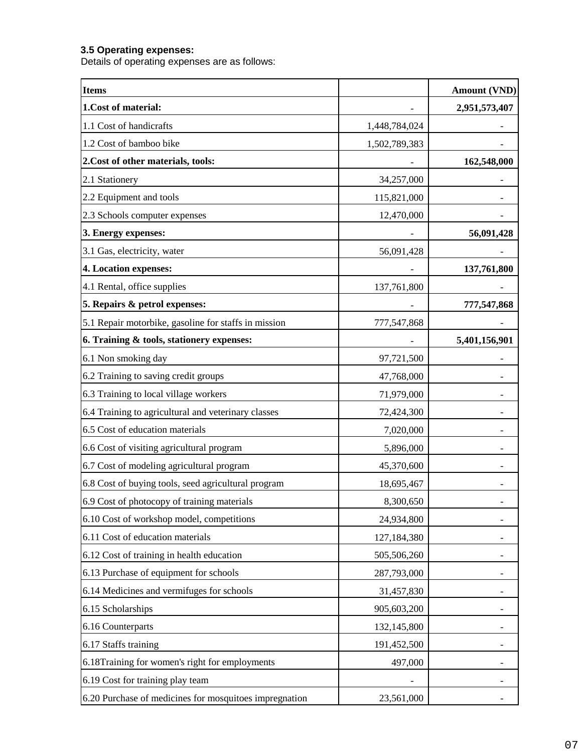### **3.5 Operating expenses:**

Details of operating expenses are as follows:

| <b>Items</b>                                           |               | <b>Amount (VND)</b> |
|--------------------------------------------------------|---------------|---------------------|
| 1.Cost of material:                                    |               | 2,951,573,407       |
| 1.1 Cost of handicrafts                                | 1,448,784,024 |                     |
| 1.2 Cost of bamboo bike                                | 1,502,789,383 |                     |
| 2. Cost of other materials, tools:                     |               | 162,548,000         |
| 2.1 Stationery                                         | 34,257,000    |                     |
| 2.2 Equipment and tools                                | 115,821,000   |                     |
| 2.3 Schools computer expenses                          | 12,470,000    |                     |
| 3. Energy expenses:                                    |               | 56,091,428          |
| 3.1 Gas, electricity, water                            | 56,091,428    |                     |
| 4. Location expenses:                                  |               | 137,761,800         |
| 4.1 Rental, office supplies                            | 137,761,800   |                     |
| 5. Repairs & petrol expenses:                          |               | 777,547,868         |
| 5.1 Repair motorbike, gasoline for staffs in mission   | 777,547,868   |                     |
| 6. Training & tools, stationery expenses:              |               | 5,401,156,901       |
| 6.1 Non smoking day                                    | 97,721,500    |                     |
| 6.2 Training to saving credit groups                   | 47,768,000    |                     |
| 6.3 Training to local village workers                  | 71,979,000    |                     |
| 6.4 Training to agricultural and veterinary classes    | 72,424,300    |                     |
| 6.5 Cost of education materials                        | 7,020,000     |                     |
| 6.6 Cost of visiting agricultural program              | 5,896,000     |                     |
| 6.7 Cost of modeling agricultural program              | 45,370,600    |                     |
| 6.8 Cost of buying tools, seed agricultural program    | 18,695,467    |                     |
| 6.9 Cost of photocopy of training materials            | 8,300,650     |                     |
| 6.10 Cost of workshop model, competitions              | 24,934,800    |                     |
| 6.11 Cost of education materials                       | 127,184,380   |                     |
| 6.12 Cost of training in health education              | 505,506,260   |                     |
| 6.13 Purchase of equipment for schools                 | 287,793,000   |                     |
| 6.14 Medicines and vermifuges for schools              | 31,457,830    |                     |
| 6.15 Scholarships                                      | 905,603,200   |                     |
| 6.16 Counterparts                                      | 132,145,800   |                     |
| 6.17 Staffs training                                   | 191,452,500   |                     |
| 6.18Training for women's right for employments         | 497,000       |                     |
| 6.19 Cost for training play team                       |               |                     |
| 6.20 Purchase of medicines for mosquitoes impregnation | 23,561,000    |                     |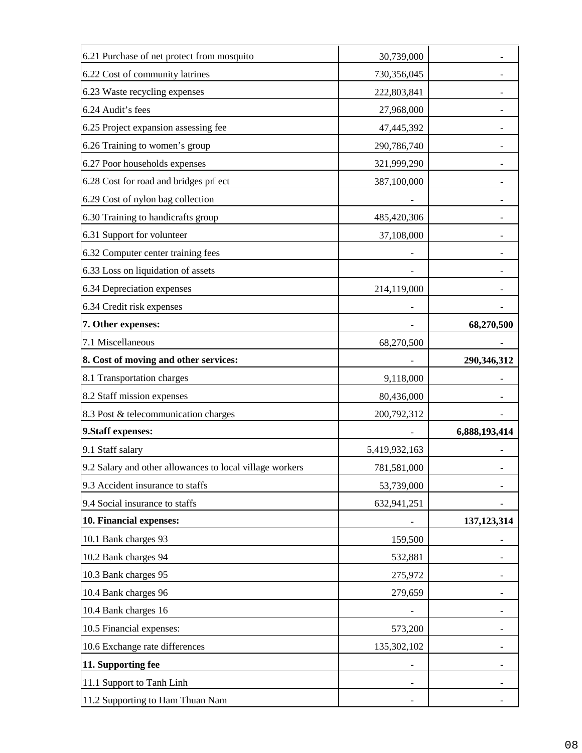| 6.21 Purchase of net protect from mosquito                                                                                                                                                                    | 30,739,000    |               |
|---------------------------------------------------------------------------------------------------------------------------------------------------------------------------------------------------------------|---------------|---------------|
| 6.22 Cost of community latrines                                                                                                                                                                               | 730,356,045   |               |
| 6.23 Waste recycling expenses                                                                                                                                                                                 | 222,803,841   |               |
| 6.24 Audit's fees                                                                                                                                                                                             | 27,968,000    |               |
| 6.25 Project expansion assessing fee                                                                                                                                                                          | 47,445,392    |               |
| 6.26 Training to women's group                                                                                                                                                                                | 290,786,740   |               |
| 6.27 Poor households expenses                                                                                                                                                                                 | 321,999,290   |               |
| 6.28 Cost for road and bridges pr ect                                                                                                                                                                         | 387,100,000   |               |
| 6.29 Cost of nylon bag collection                                                                                                                                                                             |               |               |
| 6.30 Training to handicrafts group                                                                                                                                                                            | 485,420,306   |               |
| 6.31 Support for volunteer                                                                                                                                                                                    | 37,108,000    |               |
| 6.32 Computer center training fees                                                                                                                                                                            |               |               |
| 6.33 Loss on liquidation of assets                                                                                                                                                                            |               |               |
| 6.34 Depreciation expenses                                                                                                                                                                                    | 214,119,000   |               |
| 6.34 Credit risk expenses                                                                                                                                                                                     |               |               |
| 7. Other expenses:                                                                                                                                                                                            |               | 68,270,500    |
| 7.1 Miscellaneous                                                                                                                                                                                             | 68,270,500    |               |
| 8. Cost of moving and other services:                                                                                                                                                                         |               | 290,346,312   |
| 8.1 Transportation charges                                                                                                                                                                                    | 9,118,000     |               |
| 8.2 Staff mission expenses                                                                                                                                                                                    | 80,436,000    |               |
| 8.3 Post & telecommunication charges                                                                                                                                                                          | 200,792,312   |               |
| 9. Staff expenses:                                                                                                                                                                                            |               | 6,888,193,414 |
| 9.1 Staff salary                                                                                                                                                                                              | 5,419,932,163 |               |
| 9.2 Salary and other allowances to local village workers                                                                                                                                                      | 781,581,000   |               |
| 9.3 Accident insurance to staffs                                                                                                                                                                              | 53,739,000    |               |
| 9.4 Social insurance to staffs                                                                                                                                                                                |               |               |
|                                                                                                                                                                                                               | 632,941,251   |               |
|                                                                                                                                                                                                               |               | 137, 123, 314 |
|                                                                                                                                                                                                               | 159,500       |               |
|                                                                                                                                                                                                               | 532,881       |               |
|                                                                                                                                                                                                               | 275,972       |               |
|                                                                                                                                                                                                               | 279,659       |               |
|                                                                                                                                                                                                               |               |               |
|                                                                                                                                                                                                               | 573,200       |               |
| 10. Financial expenses:<br>10.1 Bank charges 93<br>10.2 Bank charges 94<br>10.3 Bank charges 95<br>10.4 Bank charges 96<br>10.4 Bank charges 16<br>10.5 Financial expenses:<br>10.6 Exchange rate differences | 135,302,102   |               |
| 11. Supporting fee                                                                                                                                                                                            |               |               |
| 11.1 Support to Tanh Linh                                                                                                                                                                                     |               |               |